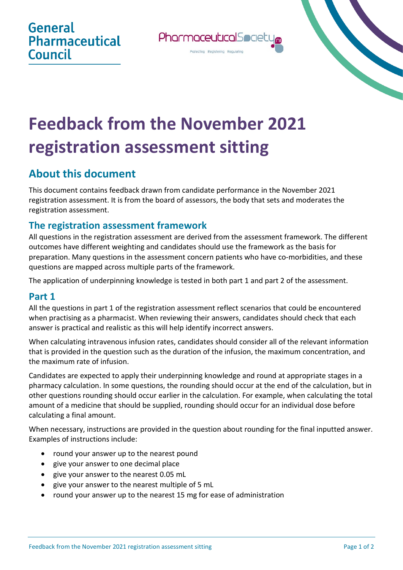

# **Feedback from the November 2021 registration assessment sitting**

## **About this document**

This document contains feedback drawn from candidate performance in the November 2021 registration assessment. It is from the board of assessors, the body that sets and moderates the registration assessment.

#### **The registration assessment framework**

All questions in the registration assessment are derived from the assessment framework. The different outcomes have different weighting and candidates should use the framework as the basis for preparation. Many questions in the assessment concern patients who have co-morbidities, and these questions are mapped across multiple parts of the framework.

The application of underpinning knowledge is tested in both part 1 and part 2 of the assessment.

#### **Part 1**

All the questions in part 1 of the registration assessment reflect scenarios that could be encountered when practising as a pharmacist. When reviewing their answers, candidates should check that each answer is practical and realistic as this will help identify incorrect answers.

When calculating intravenous infusion rates, candidates should consider all of the relevant information that is provided in the question such as the duration of the infusion, the maximum concentration, and the maximum rate of infusion.

Candidates are expected to apply their underpinning knowledge and round at appropriate stages in a pharmacy calculation. In some questions, the rounding should occur at the end of the calculation, but in other questions rounding should occur earlier in the calculation. For example, when calculating the total amount of a medicine that should be supplied, rounding should occur for an individual dose before calculating a final amount.

When necessary, instructions are provided in the question about rounding for the final inputted answer. Examples of instructions include:

- round your answer up to the nearest pound
- give your answer to one decimal place
- give your answer to the nearest 0.05 mL
- give your answer to the nearest multiple of 5 mL
- round your answer up to the nearest 15 mg for ease of administration